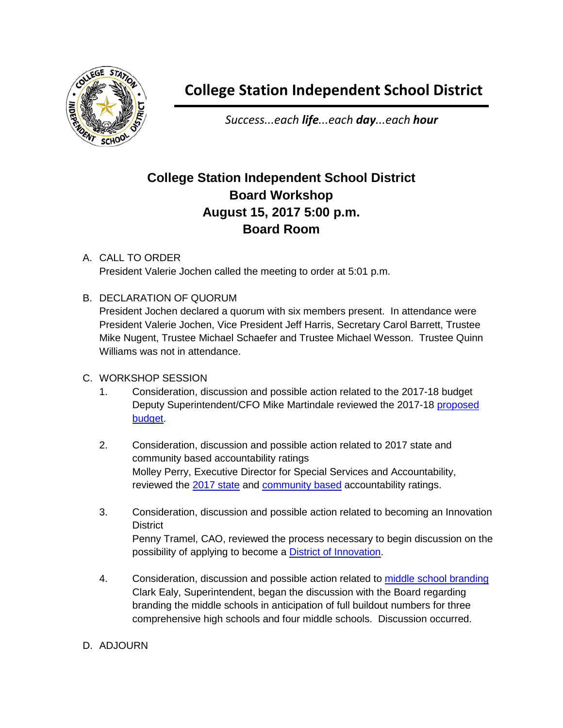

## **College Station Independent School District**

*Success...each life...each day...each hour*

## **College Station Independent School District Board Workshop August 15, 2017 5:00 p.m. Board Room**

## A. CALL TO ORDER President Valerie Jochen called the meeting to order at 5:01 p.m.

B. DECLARATION OF QUORUM

President Jochen declared a quorum with six members present. In attendance were President Valerie Jochen, Vice President Jeff Harris, Secretary Carol Barrett, Trustee Mike Nugent, Trustee Michael Schaefer and Trustee Michael Wesson. Trustee Quinn Williams was not in attendance.

- C. WORKSHOP SESSION
	- 1. Consideration, discussion and possible action related to the 2017-18 budget Deputy Superintendent/CFO Mike Martindale reviewed the 2017-18 [proposed](http://web.csisd.org/school_board/agendas/2017-2018/September/Mike-AugustBudgetBoardPresentation17-18BoardWorkshop.pdf)  [budget.](http://web.csisd.org/school_board/agendas/2017-2018/September/Mike-AugustBudgetBoardPresentation17-18BoardWorkshop.pdf)
	- 2. Consideration, discussion and possible action related to 2017 state and community based accountability ratings Molley Perry, Executive Director for Special Services and Accountability, reviewed the [2017 state](http://web.csisd.org/school_board/agendas/2017-2018/September/Perry-StateandLocalAccountability2017.pdf) and [community based](http://www.csisd.org/apps/pages/index.jsp?uREC_ID=808905&type=d&pREC_ID=1196237) accountability ratings.
	- 3. Consideration, discussion and possible action related to becoming an Innovation **District** Penny Tramel, CAO, reviewed the process necessary to begin discussion on the possibility of applying to become a [District of Innovation.](http://web.csisd.org/school_board/agendas/2017-2018/September/TramelHandout_CSISDTimelineforDistrictofInnovation2017_8-15-17.pdf)
	- 4. Consideration, discussion and possible action related to [middle school branding](http://web.csisd.org/school_board/agendas/2017-2018/September/EalyHandout_MiddleSchoolBranding8-15-17.pdf) Clark Ealy, Superintendent, began the discussion with the Board regarding branding the middle schools in anticipation of full buildout numbers for three comprehensive high schools and four middle schools. Discussion occurred.
- D. ADJOURN